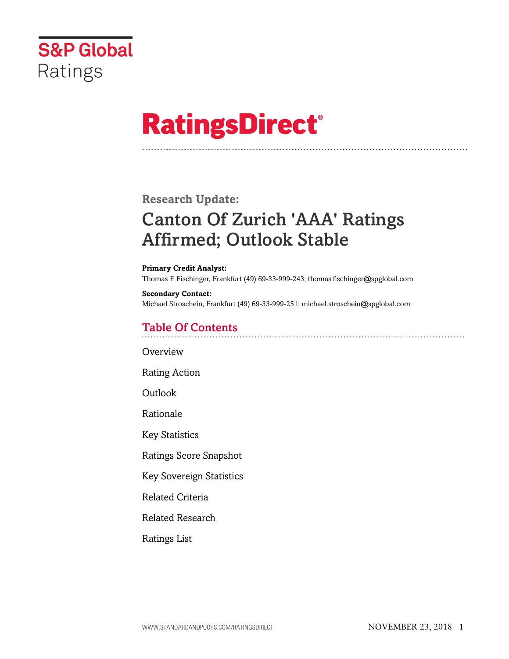

# **RatingsDirect®**

## **Research Update:**

## Canton Of Zurich 'AAA' Ratings Affirmed; Outlook Stable

#### **Primary Credit Analyst:**

Thomas F Fischinger, Frankfurt (49) 69-33-999-243; thomas.fischinger@spglobal.com

#### **Secondary Contact:** Michael Stroschein, Frankfurt (49) 69-33-999-251; michael.stroschein@spglobal.com

## Table Of Contents

**[Overview](#page-1-0)** 

[Rating Action](#page-1-1)

[Outlook](#page-1-2)

[Rationale](#page-1-3)

[Key Statistics](#page-4-0)

[Ratings Score Snapshot](#page-5-0)

[Key Sovereign Statistics](#page-5-1)

[Related Criteria](#page-5-2)

[Related Research](#page-6-0)

[Ratings List](#page-7-0)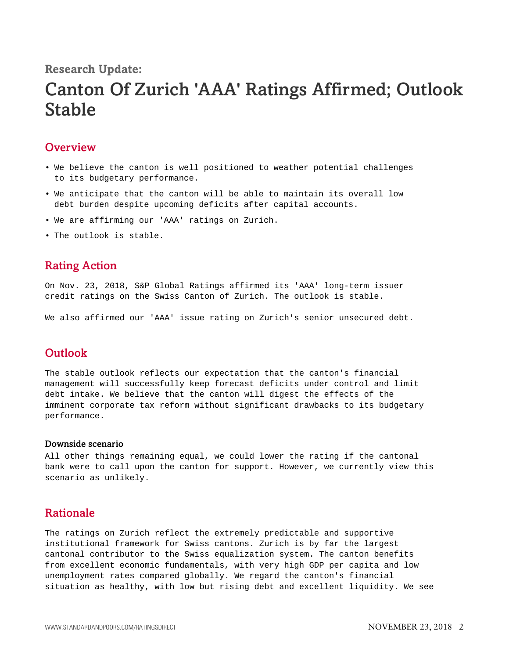## **Research Update:**

## Canton Of Zurich 'AAA' Ratings Affirmed; Outlook Stable

## <span id="page-1-0"></span>**Overview**

- We believe the canton is well positioned to weather potential challenges to its budgetary performance.
- We anticipate that the canton will be able to maintain its overall low debt burden despite upcoming deficits after capital accounts.
- We are affirming our 'AAA' ratings on Zurich.
- <span id="page-1-1"></span>• The outlook is stable.

### Rating Action

On Nov. 23, 2018, S&P Global Ratings affirmed its 'AAA' long-term issuer credit ratings on the Swiss Canton of Zurich. The outlook is stable.

<span id="page-1-2"></span>We also affirmed our 'AAA' issue rating on Zurich's senior unsecured debt.

## **Outlook**

The stable outlook reflects our expectation that the canton's financial management will successfully keep forecast deficits under control and limit debt intake. We believe that the canton will digest the effects of the imminent corporate tax reform without significant drawbacks to its budgetary performance.

#### Downside scenario

All other things remaining equal, we could lower the rating if the cantonal bank were to call upon the canton for support. However, we currently view this scenario as unlikely.

### <span id="page-1-3"></span>Rationale

The ratings on Zurich reflect the extremely predictable and supportive institutional framework for Swiss cantons. Zurich is by far the largest cantonal contributor to the Swiss equalization system. The canton benefits from excellent economic fundamentals, with very high GDP per capita and low unemployment rates compared globally. We regard the canton's financial situation as healthy, with low but rising debt and excellent liquidity. We see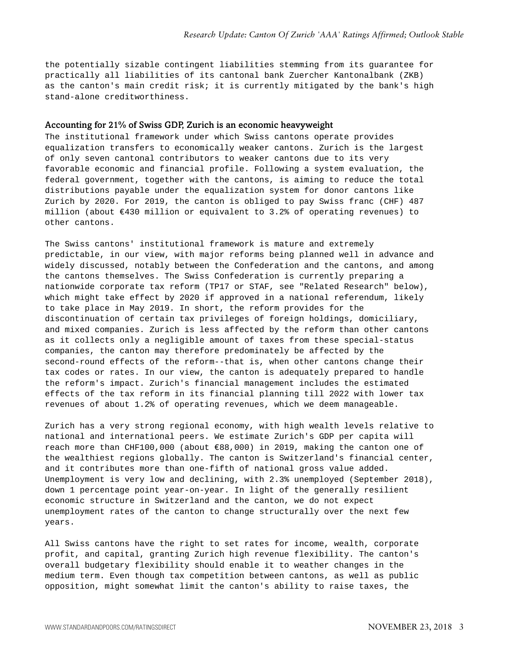the potentially sizable contingent liabilities stemming from its guarantee for practically all liabilities of its cantonal bank Zuercher Kantonalbank (ZKB) as the canton's main credit risk; it is currently mitigated by the bank's high stand-alone creditworthiness.

#### Accounting for 21% of Swiss GDP, Zurich is an economic heavyweight

The institutional framework under which Swiss cantons operate provides equalization transfers to economically weaker cantons. Zurich is the largest of only seven cantonal contributors to weaker cantons due to its very favorable economic and financial profile. Following a system evaluation, the federal government, together with the cantons, is aiming to reduce the total distributions payable under the equalization system for donor cantons like Zurich by 2020. For 2019, the canton is obliged to pay Swiss franc (CHF) 487 million (about €430 million or equivalent to 3.2% of operating revenues) to other cantons.

The Swiss cantons' institutional framework is mature and extremely predictable, in our view, with major reforms being planned well in advance and widely discussed, notably between the Confederation and the cantons, and among the cantons themselves. The Swiss Confederation is currently preparing a nationwide corporate tax reform (TP17 or STAF, see "Related Research" below), which might take effect by 2020 if approved in a national referendum, likely to take place in May 2019. In short, the reform provides for the discontinuation of certain tax privileges of foreign holdings, domiciliary, and mixed companies. Zurich is less affected by the reform than other cantons as it collects only a negligible amount of taxes from these special-status companies, the canton may therefore predominately be affected by the second-round effects of the reform--that is, when other cantons change their tax codes or rates. In our view, the canton is adequately prepared to handle the reform's impact. Zurich's financial management includes the estimated effects of the tax reform in its financial planning till 2022 with lower tax revenues of about 1.2% of operating revenues, which we deem manageable.

Zurich has a very strong regional economy, with high wealth levels relative to national and international peers. We estimate Zurich's GDP per capita will reach more than CHF100,000 (about €88,000) in 2019, making the canton one of the wealthiest regions globally. The canton is Switzerland's financial center, and it contributes more than one-fifth of national gross value added. Unemployment is very low and declining, with 2.3% unemployed (September 2018), down 1 percentage point year-on-year. In light of the generally resilient economic structure in Switzerland and the canton, we do not expect unemployment rates of the canton to change structurally over the next few years.

All Swiss cantons have the right to set rates for income, wealth, corporate profit, and capital, granting Zurich high revenue flexibility. The canton's overall budgetary flexibility should enable it to weather changes in the medium term. Even though tax competition between cantons, as well as public opposition, might somewhat limit the canton's ability to raise taxes, the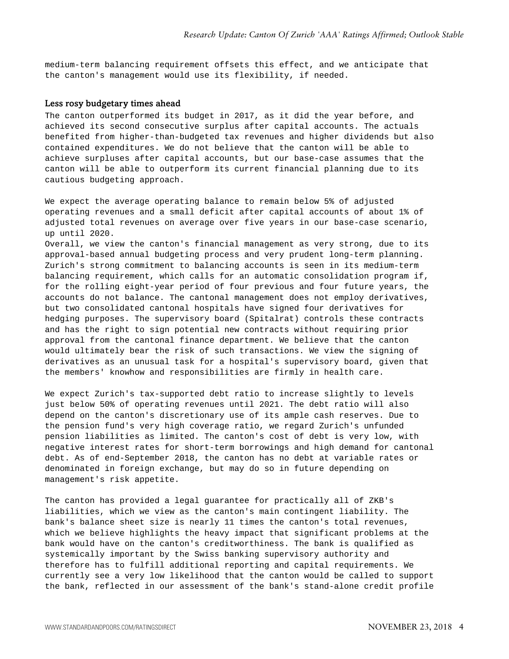medium-term balancing requirement offsets this effect, and we anticipate that the canton's management would use its flexibility, if needed.

#### Less rosy budgetary times ahead

The canton outperformed its budget in 2017, as it did the year before, and achieved its second consecutive surplus after capital accounts. The actuals benefited from higher-than-budgeted tax revenues and higher dividends but also contained expenditures. We do not believe that the canton will be able to achieve surpluses after capital accounts, but our base-case assumes that the canton will be able to outperform its current financial planning due to its cautious budgeting approach.

We expect the average operating balance to remain below 5% of adjusted operating revenues and a small deficit after capital accounts of about 1% of adjusted total revenues on average over five years in our base-case scenario, up until 2020. Overall, we view the canton's financial management as very strong, due to its approval-based annual budgeting process and very prudent long-term planning. Zurich's strong commitment to balancing accounts is seen in its medium-term

balancing requirement, which calls for an automatic consolidation program if, for the rolling eight-year period of four previous and four future years, the accounts do not balance. The cantonal management does not employ derivatives, but two consolidated cantonal hospitals have signed four derivatives for hedging purposes. The supervisory board (Spitalrat) controls these contracts and has the right to sign potential new contracts without requiring prior approval from the cantonal finance department. We believe that the canton would ultimately bear the risk of such transactions. We view the signing of derivatives as an unusual task for a hospital's supervisory board, given that the members' knowhow and responsibilities are firmly in health care.

We expect Zurich's tax-supported debt ratio to increase slightly to levels just below 50% of operating revenues until 2021. The debt ratio will also depend on the canton's discretionary use of its ample cash reserves. Due to the pension fund's very high coverage ratio, we regard Zurich's unfunded pension liabilities as limited. The canton's cost of debt is very low, with negative interest rates for short-term borrowings and high demand for cantonal debt. As of end-September 2018, the canton has no debt at variable rates or denominated in foreign exchange, but may do so in future depending on management's risk appetite.

The canton has provided a legal guarantee for practically all of ZKB's liabilities, which we view as the canton's main contingent liability. The bank's balance sheet size is nearly 11 times the canton's total revenues, which we believe highlights the heavy impact that significant problems at the bank would have on the canton's creditworthiness. The bank is qualified as systemically important by the Swiss banking supervisory authority and therefore has to fulfill additional reporting and capital requirements. We currently see a very low likelihood that the canton would be called to support the bank, reflected in our assessment of the bank's stand-alone credit profile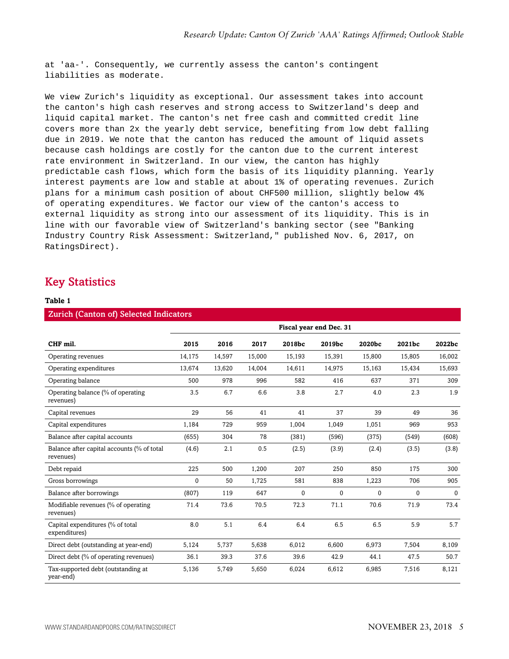at 'aa-'. Consequently, we currently assess the canton's contingent liabilities as moderate.

We view Zurich's liquidity as exceptional. Our assessment takes into account the canton's high cash reserves and strong access to Switzerland's deep and liquid capital market. The canton's net free cash and committed credit line covers more than 2x the yearly debt service, benefiting from low debt falling due in 2019. We note that the canton has reduced the amount of liquid assets because cash holdings are costly for the canton due to the current interest rate environment in Switzerland. In our view, the canton has highly predictable cash flows, which form the basis of its liquidity planning. Yearly interest payments are low and stable at about 1% of operating revenues. Zurich plans for a minimum cash position of about CHF500 million, slightly below 4% of operating expenditures. We factor our view of the canton's access to external liquidity as strong into our assessment of its liquidity. This is in line with our favorable view of Switzerland's banking sector (see "Banking Industry Country Risk Assessment: Switzerland," published Nov. 6, 2017, on RatingsDirect).

## <span id="page-4-0"></span>Key Statistics

#### **Table 1**

| <b>Zurich (Canton of) Selected Indicators</b>           |                         |        |        |        |              |             |              |          |  |
|---------------------------------------------------------|-------------------------|--------|--------|--------|--------------|-------------|--------------|----------|--|
|                                                         | Fiscal year end Dec. 31 |        |        |        |              |             |              |          |  |
| CHF mil.                                                | 2015                    | 2016   | 2017   | 2018bc | 2019bc       | 2020bc      | 2021bc       | 2022bc   |  |
| Operating revenues                                      | 14,175                  | 14,597 | 15,000 | 15,193 | 15,391       | 15,800      | 15,805       | 16,002   |  |
| Operating expenditures                                  | 13,674                  | 13,620 | 14,004 | 14,611 | 14,975       | 15,163      | 15,434       | 15,693   |  |
| Operating balance                                       | 500                     | 978    | 996    | 582    | 416          | 637         | 371          | 309      |  |
| Operating balance (% of operating<br>revenues)          | 3.5                     | 6.7    | 6.6    | 3.8    | 2.7          | 4.0         | 2.3          | 1.9      |  |
| Capital revenues                                        | 29                      | 56     | 41     | 41     | 37           | 39          | 49           | 36       |  |
| Capital expenditures                                    | 1,184                   | 729    | 959    | 1,004  | 1,049        | 1,051       | 969          | 953      |  |
| Balance after capital accounts                          | (655)                   | 304    | 78     | (381)  | (596)        | (375)       | (549)        | (608)    |  |
| Balance after capital accounts (% of total<br>revenues) | (4.6)                   | 2.1    | 0.5    | (2.5)  | (3.9)        | (2.4)       | (3.5)        | (3.8)    |  |
| Debt repaid                                             | 225                     | 500    | 1,200  | 207    | 250          | 850         | 175          | 300      |  |
| Gross borrowings                                        | $\Omega$                | 50     | 1,725  | 581    | 838          | 1,223       | 706          | 905      |  |
| Balance after borrowings                                | (807)                   | 119    | 647    | 0      | $\mathbf{0}$ | $\mathbf 0$ | $\mathbf{0}$ | $\Omega$ |  |
| Modifiable revenues (% of operating<br>revenues)        | 71.4                    | 73.6   | 70.5   | 72.3   | 71.1         | 70.6        | 71.9         | 73.4     |  |
| Capital expenditures (% of total<br>expenditures)       | 8.0                     | 5.1    | 6.4    | 6.4    | 6.5          | 6.5         | 5.9          | 5.7      |  |
| Direct debt (outstanding at year-end)                   | 5,124                   | 5,737  | 5,638  | 6,012  | 6.600        | 6,973       | 7,504        | 8,109    |  |
| Direct debt (% of operating revenues)                   | 36.1                    | 39.3   | 37.6   | 39.6   | 42.9         | 44.1        | 47.5         | 50.7     |  |
| Tax-supported debt (outstanding at<br>year-end)         | 5,136                   | 5,749  | 5,650  | 6,024  | 6,612        | 6,985       | 7,516        | 8,121    |  |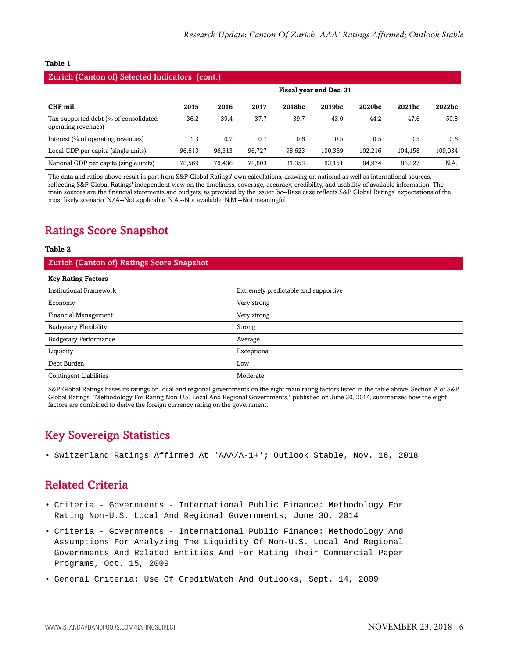#### **Table 1**

### Zurich (Canton of) Selected Indicators (cont.) **Fiscal year end Dec. 31 CHF mil. 2015 2016 2017 2018bc 2019bc 2020bc 2021bc 2022bc** Tax-supported debt (% of consolidated operating revenues) 36.2 39.4 37.7 39.7 43.0 44.2 47.6 50.8 Interest (% of operating revenues) 1.3 0.7 0.7 0.6 0.5 0.5 0.5 0.6 Local GDP per capita (single units) 96,613 96,313 96,727 98,623 100,369 102,216 104,158 109,034 National GDP per capita (single units) 78,569 78,436 78,803 81,353 83,151 84,974 86,827 N.A.

The data and ratios above result in part from S&P Global Ratings' own calculations, drawing on national as well as international sources, reflecting S&P Global Ratings' independent view on the timeliness, coverage, accuracy, credibility, and usability of available information. The main sources are the financial statements and budgets, as provided by the issuer. bc--Base case reflects S&P Global Ratings' expectations of the most likely scenario. N/A--Not applicable. N.A.--Not available. N.M.--Not meaningful.

## <span id="page-5-0"></span>Ratings Score Snapshot

#### **Table 2**

#### Zurich (Canton of) Ratings Score Snapshot

| <b>Key Rating Factors</b>      |                                      |  |
|--------------------------------|--------------------------------------|--|
| <b>Institutional Framework</b> | Extremely predictable and supportive |  |
| Economy                        | Very strong                          |  |
| <b>Financial Management</b>    | Very strong                          |  |
| <b>Budgetary Flexibility</b>   | Strong                               |  |
| <b>Budgetary Performance</b>   | Average                              |  |
| Liquidity                      | Exceptional                          |  |
| Debt Burden                    | Low                                  |  |
| <b>Contingent Liabilities</b>  | Moderate                             |  |

S&P Global Ratings bases its ratings on local and regional governments on the eight main rating factors listed in the table above. Section A of S&P Global Ratings' "Methodology For Rating Non-U.S. Local And Regional Governments," published on June 30, 2014, summarizes how the eight factors are combined to derive the foreign currency rating on the government.

## <span id="page-5-1"></span>Key Sovereign Statistics

<span id="page-5-2"></span>• Switzerland Ratings Affirmed At 'AAA/A-1+'; Outlook Stable, Nov. 16, 2018

## Related Criteria

- Criteria Governments International Public Finance: Methodology For Rating Non-U.S. Local And Regional Governments, June 30, 2014
- Criteria Governments International Public Finance: Methodology And Assumptions For Analyzing The Liquidity Of Non-U.S. Local And Regional Governments And Related Entities And For Rating Their Commercial Paper Programs, Oct. 15, 2009
- General Criteria: Use Of CreditWatch And Outlooks, Sept. 14, 2009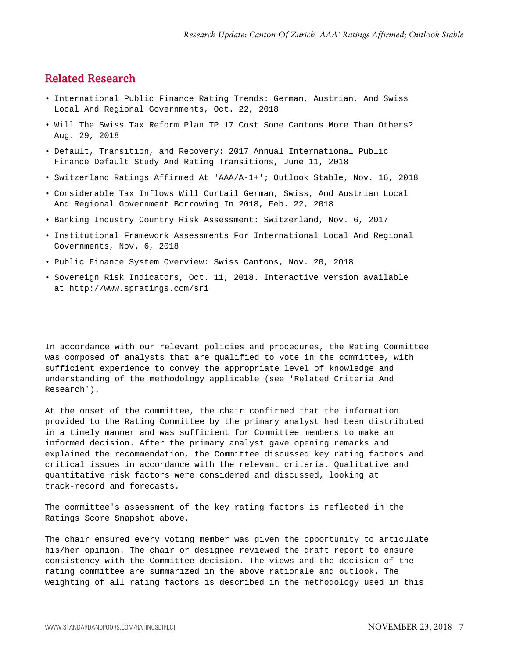## <span id="page-6-0"></span>Related Research

- International Public Finance Rating Trends: German, Austrian, And Swiss Local And Regional Governments, Oct. 22, 2018
- Will The Swiss Tax Reform Plan TP 17 Cost Some Cantons More Than Others? Aug. 29, 2018
- Default, Transition, and Recovery: 2017 Annual International Public Finance Default Study And Rating Transitions, June 11, 2018
- Switzerland Ratings Affirmed At 'AAA/A-1+'; Outlook Stable, Nov. 16, 2018
- Considerable Tax Inflows Will Curtail German, Swiss, And Austrian Local And Regional Government Borrowing In 2018, Feb. 22, 2018
- Banking Industry Country Risk Assessment: Switzerland, Nov. 6, 2017
- Institutional Framework Assessments For International Local And Regional Governments, Nov. 6, 2018
- Public Finance System Overview: Swiss Cantons, Nov. 20, 2018
- Sovereign Risk Indicators, Oct. 11, 2018. Interactive version available at http://www.spratings.com/sri

In accordance with our relevant policies and procedures, the Rating Committee was composed of analysts that are qualified to vote in the committee, with sufficient experience to convey the appropriate level of knowledge and understanding of the methodology applicable (see 'Related Criteria And Research').

At the onset of the committee, the chair confirmed that the information provided to the Rating Committee by the primary analyst had been distributed in a timely manner and was sufficient for Committee members to make an informed decision. After the primary analyst gave opening remarks and explained the recommendation, the Committee discussed key rating factors and critical issues in accordance with the relevant criteria. Qualitative and quantitative risk factors were considered and discussed, looking at track-record and forecasts.

The committee's assessment of the key rating factors is reflected in the Ratings Score Snapshot above.

The chair ensured every voting member was given the opportunity to articulate his/her opinion. The chair or designee reviewed the draft report to ensure consistency with the Committee decision. The views and the decision of the rating committee are summarized in the above rationale and outlook. The weighting of all rating factors is described in the methodology used in this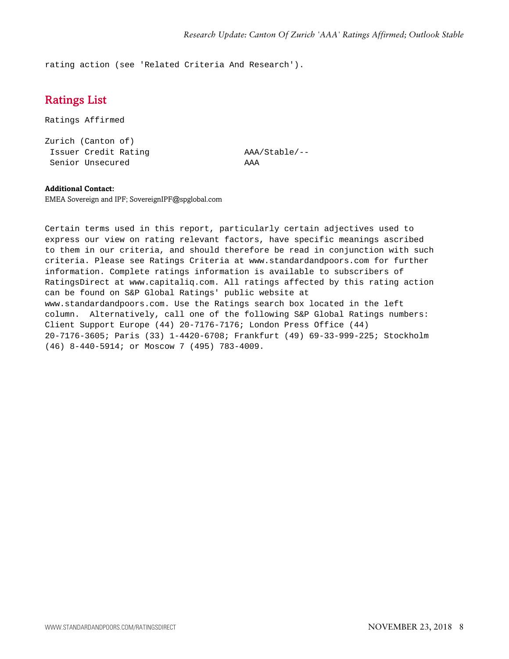<span id="page-7-0"></span>rating action (see 'Related Criteria And Research').

## Ratings List

Ratings Affirmed

Zurich (Canton of) Issuer Credit Rating AAA/Stable/-- Senior Unsecured AAA

#### **Additional Contact:**

EMEA Sovereign and IPF; SovereignIPF@spglobal.com

Certain terms used in this report, particularly certain adjectives used to express our view on rating relevant factors, have specific meanings ascribed to them in our criteria, and should therefore be read in conjunction with such criteria. Please see Ratings Criteria at www.standardandpoors.com for further information. Complete ratings information is available to subscribers of RatingsDirect at www.capitaliq.com. All ratings affected by this rating action can be found on S&P Global Ratings' public website at www.standardandpoors.com. Use the Ratings search box located in the left column. Alternatively, call one of the following S&P Global Ratings numbers: Client Support Europe (44) 20-7176-7176; London Press Office (44) 20-7176-3605; Paris (33) 1-4420-6708; Frankfurt (49) 69-33-999-225; Stockholm (46) 8-440-5914; or Moscow 7 (495) 783-4009.